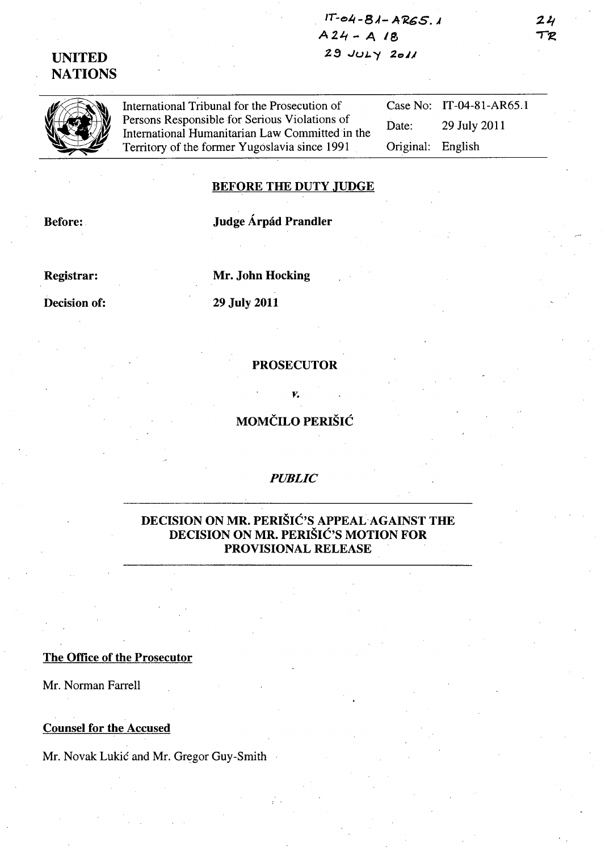IT- *<sup>0</sup>* 4-8.4- A'K.GS. J  $A24 - A18$  $29$  JULY  $2011$ 

## UNITED **NATIONS**

International Tribunal for the Prosecution of Persons Responsible for Serious Violations of International Humanitarian Law Committed in the Territory of the former Yugoslavia since 1991 Case No: IT-04-81-AR65.1 Date: 29 July 2011 Original: English

#### BEFORE THE DUTY JUDGE

Before:

### Judge Árpád Prandler

Registrar:

Mr. John Hocking

29 July 2011

Decision of:

## **PROSECUTOR**

MOMČILO PERIŠIĆ

*v.* 

#### *PUBLIC*

## DECISION ON MR. PERIŠIĆ'S APPEAL-AGAINST THE DECISION ON MR. PERIŠIĆ'S MOTION FOR PROVISIONAL RELEASE

#### The Office of the Prosecutor

Mr. Norman Farrell

#### Counsel for the Accused

Mr. Novak Lukić and Mr. Gregor Guy-Smith

 $24$ TR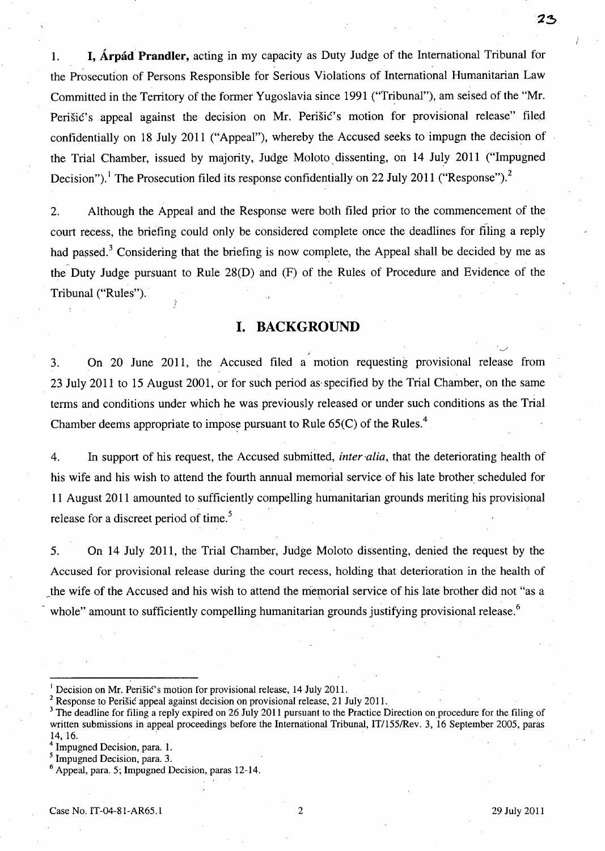1. **I, Árpád Prandler,** acting in my capacity as Duty Judge of the International Tribunal for the Prosecution of Persons Responsible for Serious Violations of International Humanitarian Law Committed in the Territory of the former Yugoslavia since 1991 ("Tribunal"), am seised of the "Mr. Perišić's appeal against the decision on Mr. Perišić's motion for provisional release" filed confidentially on 18 July 2011 ("Appeal"), whereby the Accused seeks to impugn the decision of the Trial Chamber, issued by majority, Judge Moloto dissenting, on 14 July 2011 ("Impugned Decision").<sup>1</sup> The Prosecution filed its response confidentially on 22 July 2011 ("Response").<sup>2</sup>

2. Although the Appeal and the Response were both filed prior to the commencement of the court recess, the briefing could only be considered complete once the deadlines for filing a reply had passed.<sup>3</sup> Considering that the briefing is now complete, the Appeal shall be decided by me as the Duty Judge pursuant to Rule 28(D) and (F) of the Rules of Procedure and Evidence of the Tribunal ("Rules").

### **I. BACKGROUND**

3. On 20 June 2011, the Accused filed a motion requesting provisional release from 23 July 2011 to 15 August 2001, or for such period as'specified by the Trial Chamber, on the same terms and conditions under which he was previously released or under such conditions as the Trial Chamber deems appropriate to impose pursuant to Rule  $65(C)$  of the Rules.<sup>4</sup>

4. In support of his request, the Accused submitted, *inter 'alia,* that the deteriorating health of his wife and his wish to attend the fourth annual memorial service of his late brother scheduled for 11 August 2011 amounted to sufficiently compelling humanitarian grounds meriting his provisional release for a discreet period of time.<sup>5</sup>

5. On 14 July 2011, the Trial Chamber, Judge Moloto dissenting, denied the request by the Accused for provisional release during the court recess, holding that deterioration in the health of the wife of the Accused and his wish to attend the memorial service of his late brother did not "as a whole" amount to sufficiently compelling humanitarian grounds justifying provisional release.<sup>6</sup>

Decision on Mr. Perišić's motion for provisional release, 14 July 2011.

<sup>&</sup>lt;sup>2</sup> Response to Perišić appeal against decision on provisional release, 21 July 2011.<br>
<sup>3</sup> The deadline for filing a reply expired on 26 July 2011 pursuant to the Practice Direction on procedure written submissions in app <sup>3</sup> The deadline for filing a reply expired on 26 July 2011 pursuant to the Practice Direction on procedure for the filing of written submissions in appeal proceedings before the International Tribunal, IT/155/Rev. 3, 16 September 2005, paras

<sup>&</sup>lt;sup>4</sup> Impugned Decision, para. 1.

<sup>&</sup>lt;sup>5</sup> Impugned Decision, para. 3.

<sup>6</sup> Appeal, para. 5; Impugned Decision, paras 12-14.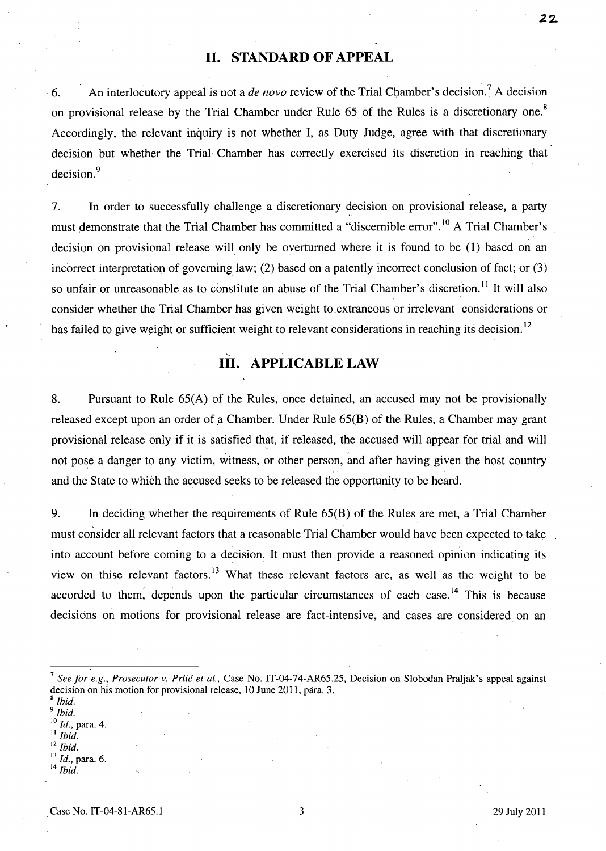### **II. STANDARD OF APPEAL**

6. An interlocutory appeal is not a *de novo* review of the Trial Chamber's decision. 7 A decision on provisional release by the Trial Chamber under Rule 65 of the Rules is a discretionary one.<sup>8</sup> Accordingly, the relevant inquiry is not whether I, as Duty Judge, agree with that discretionary decision but whether the Trial Chamber has correctly exercised its discretion in reaching that decision.<sup>9</sup>

7. In order to successfully challenge a discretionary decision on provisional release, a party must demonstrate that the Trial Chamber has committed a "discernible error".<sup>10</sup> A Trial Chamber's decision on provisional release will only be overturned where it is found to be (1) based on an incorrect interpretation of governing law; (2) based on a patently incorrect conclusion of fact; or (3) so unfair or unreasonable as to constitute an abuse of the Trial Chamber's discretion.<sup>11</sup> It will also consider whether the Trial Chamber has given weight to extraneous or irrelevant considerations or has failed to give weight or sufficient weight to relevant considerations in reaching its decision.<sup>12</sup>

## **III. APPLICABLE LAW**

8. Pursuant to Rule 65(A) of the Rules, once detained, an accused may not be provisionally released except upon an order of a Chamber. Under Rule 65(B) of the Rules, a Chamber may grant provisional release only if it is satisfied that, if released, the accused will appear for trial and will not pose a danger to any victim, witness, or other person, and after having given the host country and the State to which the accused seeks to be released the opportunity to be heard.

9. In deciding whether the requirements of Rule 65(B) of the Rules are met, a Trial Chamber must consider all relevant factors that a reasonable Trial Chamber would have been expected to take into account before coming to a decision. It must then provide a reasoned opinion indicating its view on thise relevant factors. 13 What these relevant factors are, as well as the weight to be accorded to them, depends upon the particular circumstances of each case.<sup>14</sup> This is because decisions on motions for provisional release are fact-intensive, and cases are considered on an

*9 Ibid.* 

<sup>10</sup>*ld.,* para. 4.

Ibid. <sup>12</sup>*Ibid.* 

<sup>13</sup>*ld.,* para. 6.

Ibid.

**22.** 

*<sup>7</sup> See for e.g.! Prosecutor v.* Prlić *et al.,* Case No. IT-04-74-AR65.25, Decision on Slobodan Praljak:'s appeal against decision on his motion for provisional release, 10 June 2011, para. 3.

<sup>8</sup>*Ibid.*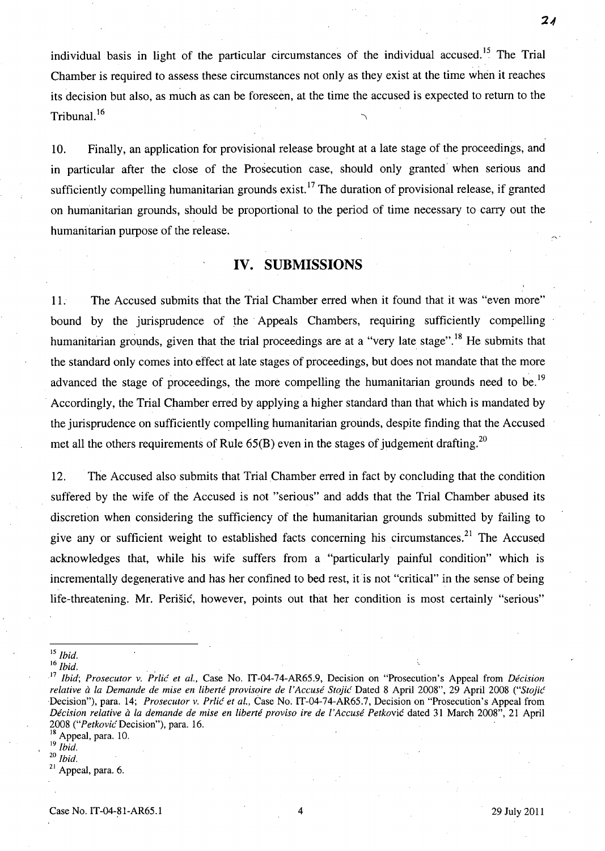individual basis in light of the particular circumstances of the individual accused.<sup>15</sup> The Trial Chamber is required to assess these circumstances not only as they exist at the time when it reaches its decision but also, as much as can be foreseen, at the time the accused is expected to retum to the Tribunal. $16$ 

10. Finally, an application for provisional release brought at a late stage of the proceedings, and in particular after the close of the Prosecution case, should only granted' when serious and sufficiently compelling humanitarian grounds exist.<sup>17</sup> The duration of provisional release, if granted on humanitarian grounds, should be proportional to the period of time necessary to carry out the humanitarian purpose of the release.

### **IV. SUBMISSIONS**

11. The Accused submits that the Trial Chamber effed when it found that it was "even more" bound by the jurisprudence of the Appeals Chambers, requiring sufficiently compelling humanitarian grounds, given that the trial proceedings are at a "very late stage".<sup>18</sup> He submits that the standard only comes into effect at late stages of proceedings, but does not mandate that the more advanced the stage of proceedings, the more compelling the humanitarian grounds need to be.<sup>19</sup> Accordingly, the Trial Chamber erred by applying a higher standard than that which is mandated by the jurisprudence on sufficiently compelling humanitarian grounds, despite finding that the Accused met all the others requirements of Rule  $65(B)$  even in the stages of judgement drafting.<sup>20</sup>

12. The Accused also submits that Trial Chamber erred in fact by concluding that the condition suffered by the wife of the Accused is not "serious" and adds that the Trial Chamber abused its discretion when considering the sufficiency of the humanitarian grounds submitted by failing to give any or sufficient weight to established facts concerning his circumstances.<sup>21</sup> The Accused acknowledges that, while his wife suffers from a "particularly painful condition" which is incrementally degenerative and has her confined to bed rest, it is not "critical" in the sense of being life-threatening. Mr. Perišić, however, points out that her condition is most certainly "serious"

Appeal, para. 10.

<sup>19</sup>*Ibid.*  <sup>20</sup>*Ibid.* 

 $21$  Appeal, para. 6.

 $21$ 

<sup>15</sup>*Ibid.* 

<sup>16</sup>*Ibid .* 

<sup>&</sup>lt;sup>17</sup> *Ibid*; Prosecutor v. Prlić et al., Case No. IT-04-74-AR65.9, Decision on "Prosecution's Appeal from *Décision relative* il *la Demande de mise en liberte provisoire de ['Accuse* Stojić Dated 8 April 2008", 29 April 2008 ("Stojić Decision"), para. 14; *Prosecutor v. Prlić et al.*, Case No. IT-04-74-AR65.7, Decision on "Prosecution's Appeal from *Decision relative* il *la demande de mise en liberte proviso ire de l'Accuse* Petković dated 31 March 2008", 21 April *2008* ("Petković Decision"), para. 16. .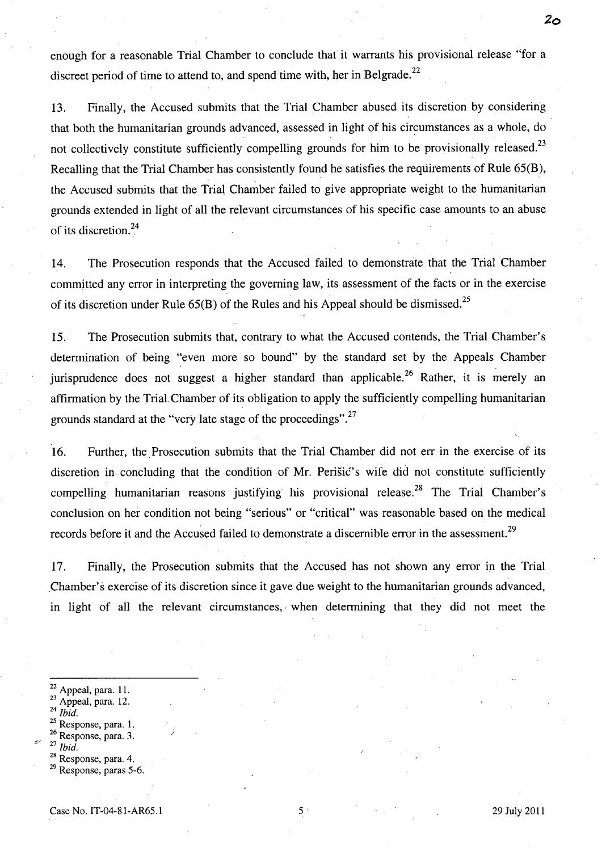enough for a reasonable Trial Chamber to conclude that it warrants his provisional release "for a discreet period of time to attend to, and spend time with, her in Belgrade.<sup>22</sup>

13. Finally, the Accused submits that the Trial Chamber abused its discretion by considering that both the humanitarian grounds advanced, assessed in light of his circumstances as a whole, do not collectively constitute sufficiently compelling grounds for him to be provisionally released.<sup>23</sup> Recalling that the Trial Chamber has consistently found he satisfies the requirements of Rule 65(B), the Accused subrnits that the Trial Chamber failed to give appropriate weight to the humanitarian grounds extended in light of all the relevant circumstances of his specific case amounts to an abuse of its discretion. <sup>24</sup>

14. The Prosecution responds that the Accused failed to demonstrate that the Trial Chamber commjtted any error in interpreting the governing law, its assessment of the facts or in the exercise of its discretion under Rule  $65(B)$  of the Rules and his Appeal should be dismissed.<sup>25</sup>

15. The Prosecution submits that, contrary to what the Accused contends, the Trial Chamber's determination of being "even more so bound" by the standard set by the Appeals Chamber jurisprudence does not suggest a higher standard than applicable.<sup>26</sup> Rather, it is merely an affirmation by the Trial Chamber of its obligation to apply the sufficiently compelling humanitarian grounds standard at the "very late stage of the proceedings".<sup>27</sup>

16. Further, the Prosecution submits that the Trial Chamber did not err in the exercise of its discretion in concluding that the condition ·of Mr. Perišić's wife did not constitute sufficiently compelling humanitarian reasons justifying his provisional release.<sup>28</sup> The Trial Chamber's conclusion on her condition not being "serious" or "critical" was reasonable based on the medical records before it and the Accused failed to demonstrate a discernible error in the assessment.<sup>29</sup>

17. Finally, the Prosecution subrnits that the Accused has not shown any error in the Trial .Chamber's exercise of its discretion since it gave due weight to the humanitarian grounds advanced, in light of all the relevant circumstances, when determining that they did not meet the

- 22 Appeal, para. 11.
- Appeal, para. 12.
- *Ibid.*
- Response, para. 1.
- <sup>26</sup> Response, para. 3.

)

- *<u>Ibid.</u>*
- Response, para. 4.

**20** 

Response, paras 5-6.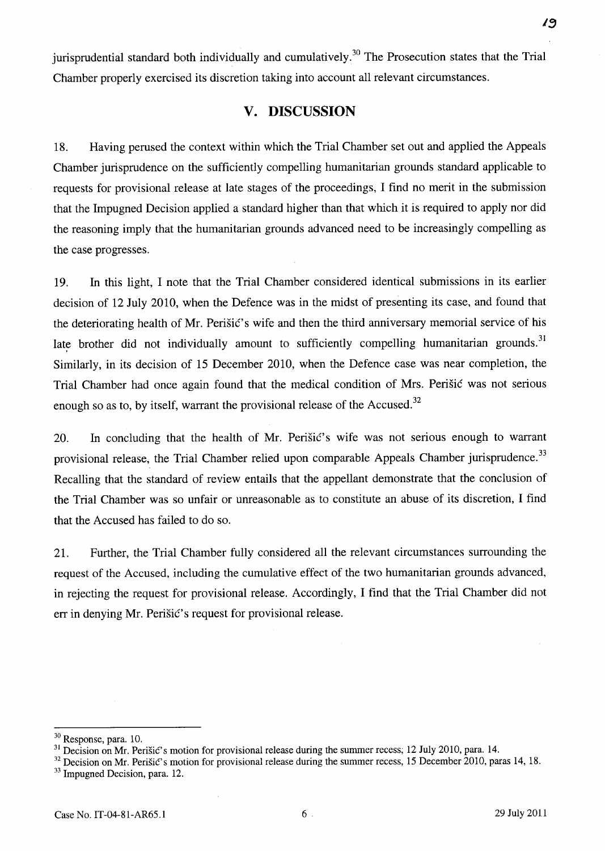jurisprudential standard both individually and cumulatively.<sup>30</sup> The Prosecution states that the Trial Chamber properly exercised its discretion taking into account all relevant circumstances.

## **v. DISCUSSION**

18. Having perused the context within which the Trial Chamber set out and applied the Appeals Chamber jurisprudence on the sufficiently compelling humanitarian grounds standard applicable to requests for provisional release at late stages of the proceedings, I find no merit in the submission that the Impugned Decision applied a standard higher than that which it is required to apply nor did the reasoning imply that the humanitarian grounds advanced need to be increasingly compelling as the case progresses.

19. In this light, I note that the Trial Chamber considered identical submissions in its earlier decision of 12 July 2010, when the Defence was in the midst of presenting its case, and found that the deteriorating health of Mr. Perišić's wife and then the third anniversary memorial service of his late brother did not individually amount to sufficiently compelling humanitarian grounds.<sup>31</sup> Similarly, in its decision of 15 December 2010, when the Defence case was near completion, the Trial Chamber had once again found that the medical condition of Mrs. Perišić was not serious enough so as to, by itself, warrant the provisional release of the Accused.<sup>32</sup>

20. In concluding that the health of Mr. Perišić's wife was not serious enough to warrant provisional release, the Trial Chamber relied upon comparable Appeals Chamber jurisprudence.<sup>33</sup> Recalling that the standard of review entails that the appellant demonstrate that the conclusion of the Trial Chamber was so unfair or unreasonable as to constitute an abuse of its discretion, I find that the Accused has failed to do so.

21. Further, the Trial Chamber fully considered all the relevant circumstances surrounding the request of the Accused, including the cumulative effect of the two humanitarian grounds advanced, in rejecting the request for provisional release. Accordingly, I find that the Trial Chamber did not err in denying Mr. Perišić's request for provisional release.

19

<sup>30</sup> Response, para. 10.

<sup>&</sup>lt;sup>31</sup> Decision on Mr. Perišić's motion for provisional release during the summer recess; 12 July 2010, para. 14.

<sup>&</sup>lt;sup>32</sup> Decision on Mr. Perišić's motion for provisional release during the summer recess, 15 December 2010, paras 14, 18. <sup>33</sup> Impugned Decision, para. 12.